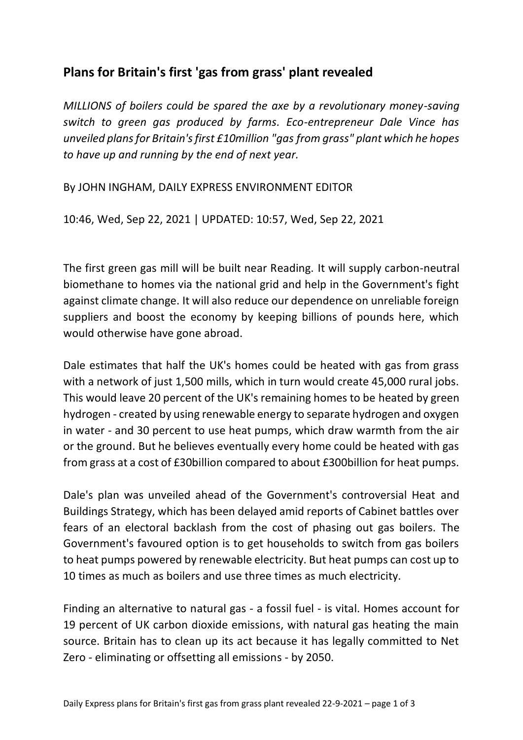## **Plans for Britain's first 'gas from grass' plant revealed**

*MILLIONS of boilers could be spared the axe by a revolutionary money-saving switch to green gas produced by farms. Eco-entrepreneur Dale Vince has unveiled plans for Britain's first £10million "gas from grass" plant which he hopes to have up and running by the end of next year.*

By JOHN INGHAM, DAILY EXPRESS ENVIRONMENT EDITOR

10:46, Wed, Sep 22, 2021 | UPDATED: 10:57, Wed, Sep 22, 2021

The first green gas mill will be built near Reading. It will supply carbon-neutral biomethane to homes via the national grid and help in the Government's fight against climate change. It will also reduce our dependence on unreliable foreign suppliers and boost the economy by keeping billions of pounds here, which would otherwise have gone abroad.

Dale estimates that half the UK's homes could be heated with gas from grass with a network of just 1,500 mills, which in turn would create 45,000 rural jobs. This would leave 20 percent of the UK's remaining homes to be heated by green hydrogen - created by using renewable energy to separate hydrogen and oxygen in water - and 30 percent to use heat pumps, which draw warmth from the air or the ground. But he believes eventually every home could be heated with gas from grass at a cost of £30billion compared to about £300billion for heat pumps.

Dale's plan was unveiled ahead of the Government's controversial Heat and Buildings Strategy, which has been delayed amid reports of Cabinet battles over fears of an electoral backlash from the cost of phasing out gas boilers. The Government's favoured option is to get households to switch from gas boilers to heat pumps powered by renewable electricity. But heat pumps can cost up to 10 times as much as boilers and use three times as much electricity.

Finding an alternative to natural gas - a fossil fuel - is vital. Homes account for 19 percent of UK carbon dioxide emissions, with natural gas heating the main source. Britain has to clean up its act because it has legally committed to Net Zero - eliminating or offsetting all emissions - by 2050.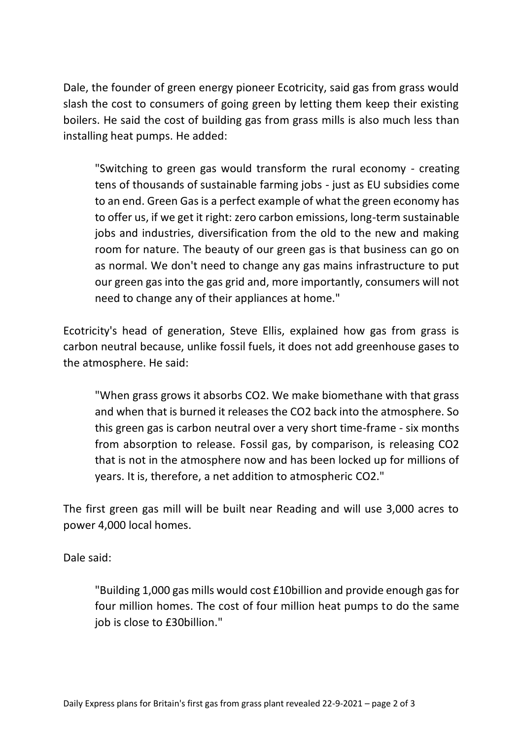Dale, the founder of green energy pioneer Ecotricity, said gas from grass would slash the cost to consumers of going green by letting them keep their existing boilers. He said the cost of building gas from grass mills is also much less than installing heat pumps. He added:

"Switching to green gas would transform the rural economy - creating tens of thousands of sustainable farming jobs - just as EU subsidies come to an end. Green Gas is a perfect example of what the green economy has to offer us, if we get it right: zero carbon emissions, long-term sustainable jobs and industries, diversification from the old to the new and making room for nature. The beauty of our green gas is that business can go on as normal. We don't need to change any gas mains infrastructure to put our green gas into the gas grid and, more importantly, consumers will not need to change any of their appliances at home."

Ecotricity's head of generation, Steve Ellis, explained how gas from grass is carbon neutral because, unlike fossil fuels, it does not add greenhouse gases to the atmosphere. He said:

"When grass grows it absorbs CO2. We make biomethane with that grass and when that is burned it releases the CO2 back into the atmosphere. So this green gas is carbon neutral over a very short time-frame - six months from absorption to release. Fossil gas, by comparison, is releasing CO2 that is not in the atmosphere now and has been locked up for millions of years. It is, therefore, a net addition to atmospheric CO2."

The first green gas mill will be built near Reading and will use 3,000 acres to power 4,000 local homes.

Dale said:

"Building 1,000 gas mills would cost £10billion and provide enough gas for four million homes. The cost of four million heat pumps to do the same job is close to £30billion."